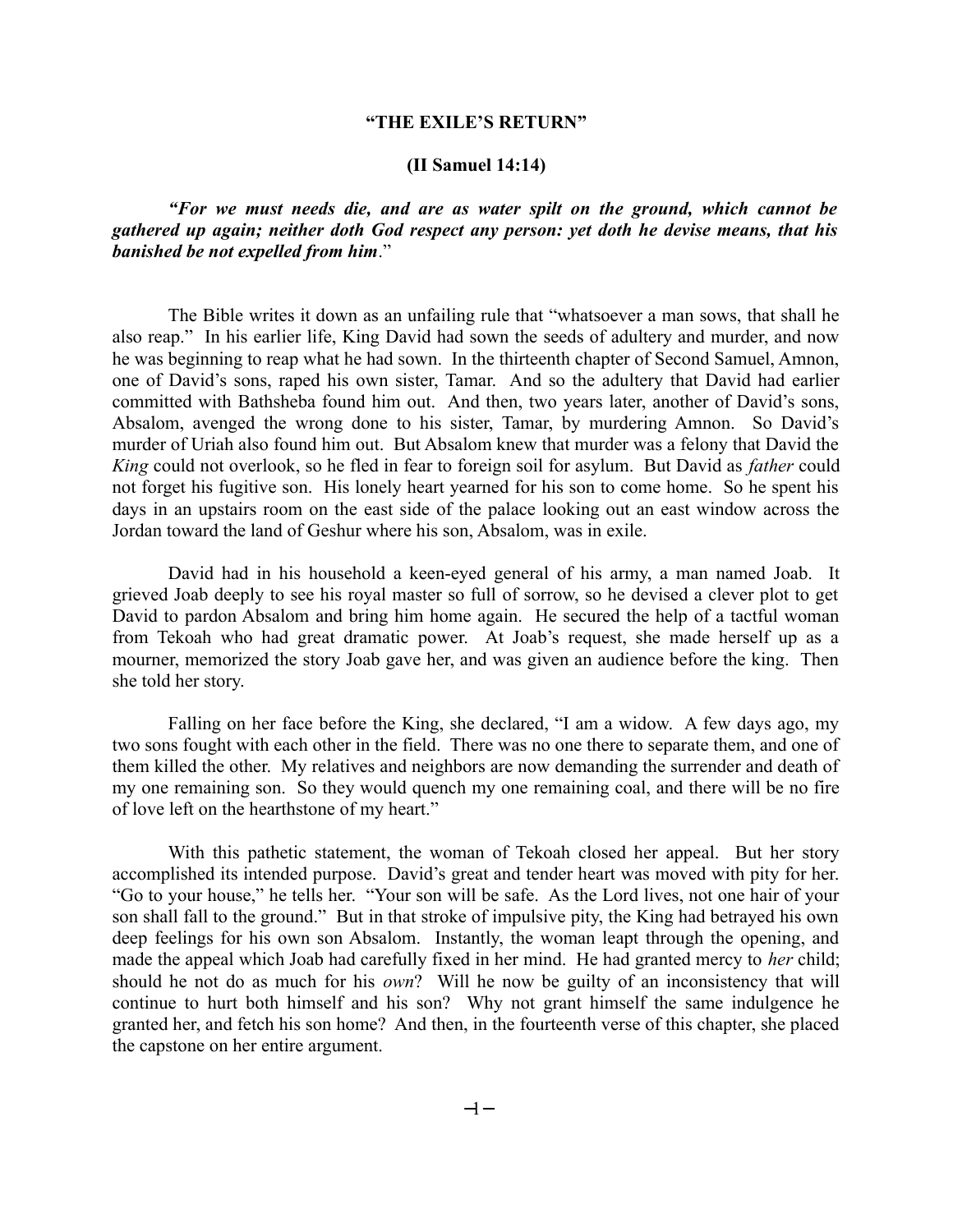# **"THE EXILE'S RETURN"**

## **(II Samuel 14:14)**

*"For we must needs die, and are as water spilt on the ground, which cannot be gathered up again; neither doth God respect any person: yet doth he devise means, that his banished be not expelled from him*."

The Bible writes it down as an unfailing rule that "whatsoever a man sows, that shall he also reap." In his earlier life, King David had sown the seeds of adultery and murder, and now he was beginning to reap what he had sown. In the thirteenth chapter of Second Samuel, Amnon, one of David's sons, raped his own sister, Tamar. And so the adultery that David had earlier committed with Bathsheba found him out. And then, two years later, another of David's sons, Absalom, avenged the wrong done to his sister, Tamar, by murdering Amnon. So David's murder of Uriah also found him out. But Absalom knew that murder was a felony that David the *King* could not overlook, so he fled in fear to foreign soil for asylum. But David as *father* could not forget his fugitive son. His lonely heart yearned for his son to come home. So he spent his days in an upstairs room on the east side of the palace looking out an east window across the Jordan toward the land of Geshur where his son, Absalom, was in exile.

David had in his household a keen-eyed general of his army, a man named Joab. It grieved Joab deeply to see his royal master so full of sorrow, so he devised a clever plot to get David to pardon Absalom and bring him home again. He secured the help of a tactful woman from Tekoah who had great dramatic power. At Joab's request, she made herself up as a mourner, memorized the story Joab gave her, and was given an audience before the king. Then she told her story.

Falling on her face before the King, she declared, "I am a widow. A few days ago, my two sons fought with each other in the field. There was no one there to separate them, and one of them killed the other. My relatives and neighbors are now demanding the surrender and death of my one remaining son. So they would quench my one remaining coal, and there will be no fire of love left on the hearthstone of my heart."

With this pathetic statement, the woman of Tekoah closed her appeal. But her story accomplished its intended purpose. David's great and tender heart was moved with pity for her. "Go to your house," he tells her. "Your son will be safe. As the Lord lives, not one hair of your son shall fall to the ground." But in that stroke of impulsive pity, the King had betrayed his own deep feelings for his own son Absalom. Instantly, the woman leapt through the opening, and made the appeal which Joab had carefully fixed in her mind. He had granted mercy to *her* child; should he not do as much for his *own*? Will he now be guilty of an inconsistency that will continue to hurt both himself and his son? Why not grant himself the same indulgence he granted her, and fetch his son home? And then, in the fourteenth verse of this chapter, she placed the capstone on her entire argument.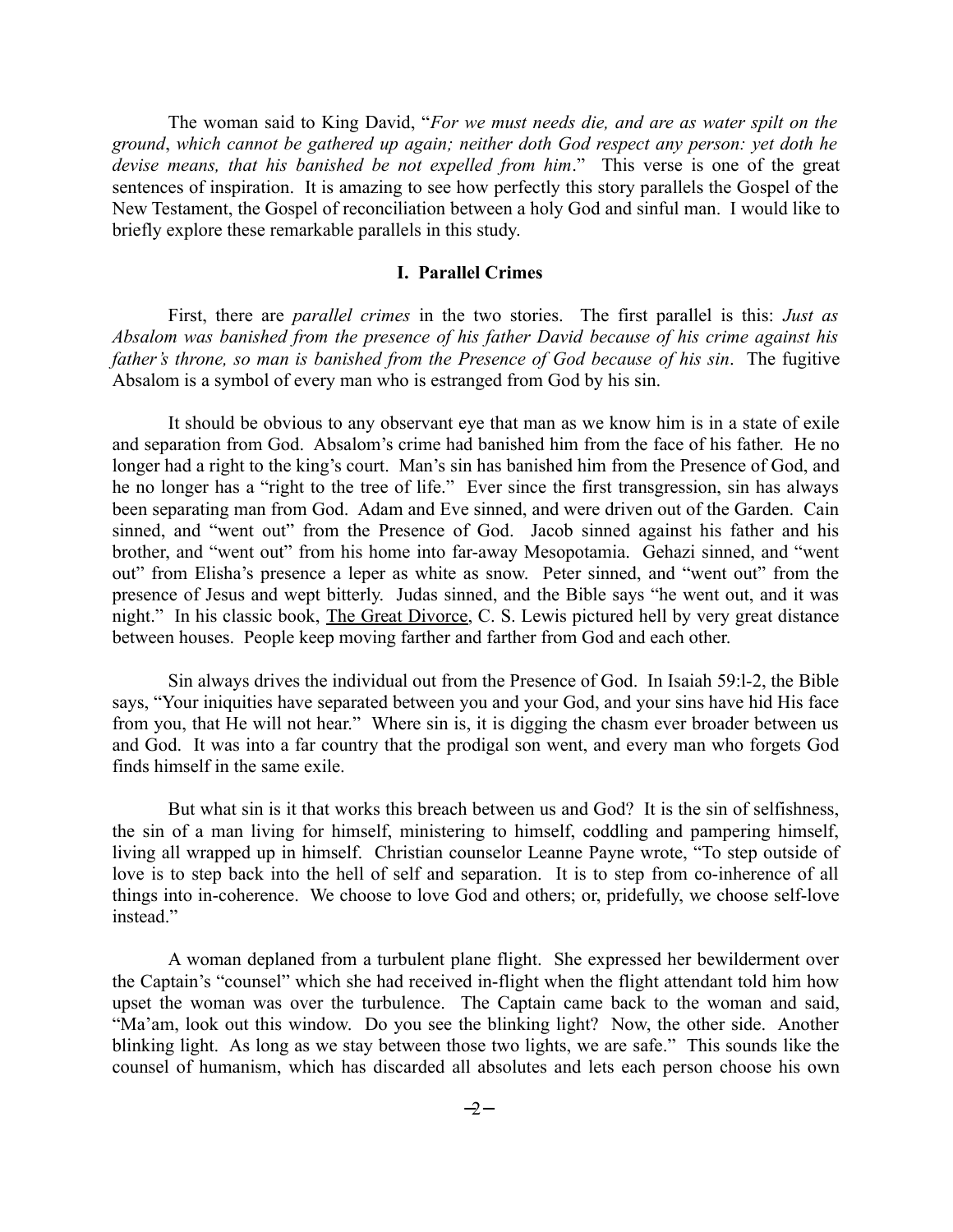The woman said to King David, "*For we must needs die, and are as water spilt on the ground*, *which cannot be gathered up again; neither doth God respect any person: yet doth he devise means, that his banished be not expelled from him*." This verse is one of the great sentences of inspiration. It is amazing to see how perfectly this story parallels the Gospel of the New Testament, the Gospel of reconciliation between a holy God and sinful man. I would like to briefly explore these remarkable parallels in this study.

## **I. Parallel Crimes**

First, there are *parallel crimes* in the two stories. The first parallel is this: *Just as Absalom was banished from the presence of his father David because of his crime against his father's throne, so man is banished from the Presence of God because of his sin*. The fugitive Absalom is a symbol of every man who is estranged from God by his sin.

It should be obvious to any observant eye that man as we know him is in a state of exile and separation from God. Absalom's crime had banished him from the face of his father. He no longer had a right to the king's court. Man's sin has banished him from the Presence of God, and he no longer has a "right to the tree of life." Ever since the first transgression, sin has always been separating man from God. Adam and Eve sinned, and were driven out of the Garden. Cain sinned, and "went out" from the Presence of God. Jacob sinned against his father and his brother, and "went out" from his home into far-away Mesopotamia. Gehazi sinned, and "went out" from Elisha's presence a leper as white as snow. Peter sinned, and "went out" from the presence of Jesus and wept bitterly. Judas sinned, and the Bible says "he went out, and it was night." In his classic book, The Great Divorce, C. S. Lewis pictured hell by very great distance between houses. People keep moving farther and farther from God and each other.

Sin always drives the individual out from the Presence of God. In Isaiah 59:l-2, the Bible says, "Your iniquities have separated between you and your God, and your sins have hid His face from you, that He will not hear." Where sin is, it is digging the chasm ever broader between us and God. It was into a far country that the prodigal son went, and every man who forgets God finds himself in the same exile.

But what sin is it that works this breach between us and God? It is the sin of selfishness, the sin of a man living for himself, ministering to himself, coddling and pampering himself, living all wrapped up in himself. Christian counselor Leanne Payne wrote, "To step outside of love is to step back into the hell of self and separation. It is to step from co-inherence of all things into in-coherence. We choose to love God and others; or, pridefully, we choose self-love instead"

A woman deplaned from a turbulent plane flight. She expressed her bewilderment over the Captain's "counsel" which she had received in-flight when the flight attendant told him how upset the woman was over the turbulence. The Captain came back to the woman and said, "Ma'am, look out this window. Do you see the blinking light? Now, the other side. Another blinking light. As long as we stay between those two lights, we are safe." This sounds like the counsel of humanism, which has discarded all absolutes and lets each person choose his own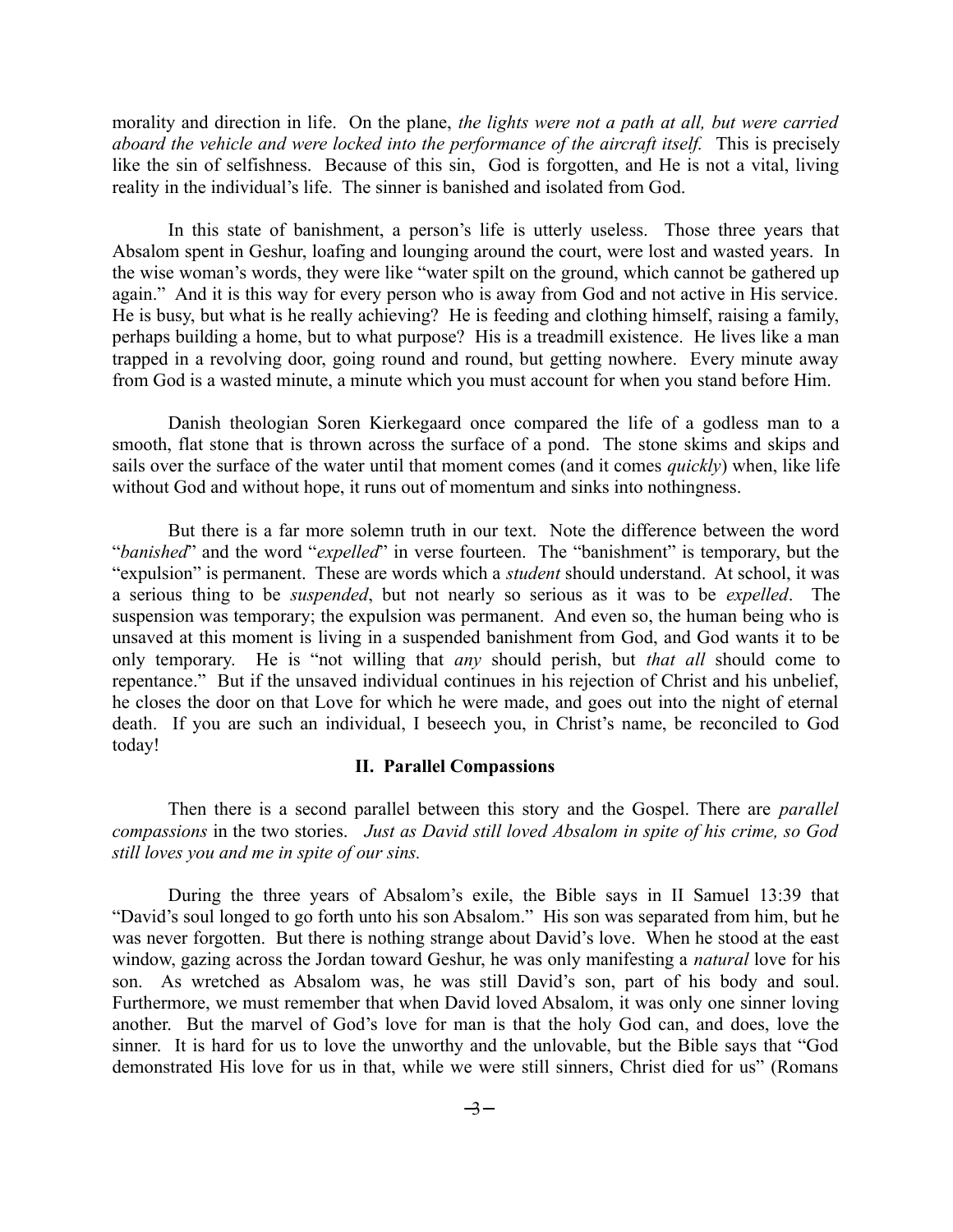morality and direction in life. On the plane, *the lights were not a path at all, but were carried aboard the vehicle and were locked into the performance of the aircraft itself.* This is precisely like the sin of selfishness. Because of this sin, God is forgotten, and He is not a vital, living reality in the individual's life. The sinner is banished and isolated from God.

In this state of banishment, a person's life is utterly useless. Those three years that Absalom spent in Geshur, loafing and lounging around the court, were lost and wasted years. In the wise woman's words, they were like "water spilt on the ground, which cannot be gathered up again." And it is this way for every person who is away from God and not active in His service. He is busy, but what is he really achieving? He is feeding and clothing himself, raising a family, perhaps building a home, but to what purpose? His is a treadmill existence. He lives like a man trapped in a revolving door, going round and round, but getting nowhere. Every minute away from God is a wasted minute, a minute which you must account for when you stand before Him.

Danish theologian Soren Kierkegaard once compared the life of a godless man to a smooth, flat stone that is thrown across the surface of a pond. The stone skims and skips and sails over the surface of the water until that moment comes (and it comes *quickly*) when, like life without God and without hope, it runs out of momentum and sinks into nothingness.

But there is a far more solemn truth in our text. Note the difference between the word "*banished*" and the word "*expelled*" in verse fourteen. The "banishment" is temporary, but the "expulsion" is permanent. These are words which a *student* should understand. At school, it was a serious thing to be *suspended*, but not nearly so serious as it was to be *expelled*. The suspension was temporary; the expulsion was permanent. And even so, the human being who is unsaved at this moment is living in a suspended banishment from God, and God wants it to be only temporary. He is "not willing that *any* should perish, but *that all* should come to repentance." But if the unsaved individual continues in his rejection of Christ and his unbelief, he closes the door on that Love for which he were made, and goes out into the night of eternal death. If you are such an individual, I beseech you, in Christ's name, be reconciled to God today!

### **II. Parallel Compassions**

Then there is a second parallel between this story and the Gospel. There are *parallel compassions* in the two stories. *Just as David still loved Absalom in spite of his crime, so God still loves you and me in spite of our sins.* 

During the three years of Absalom's exile, the Bible says in II Samuel 13:39 that "David's soul longed to go forth unto his son Absalom." His son was separated from him, but he was never forgotten. But there is nothing strange about David's love. When he stood at the east window, gazing across the Jordan toward Geshur, he was only manifesting a *natural* love for his son. As wretched as Absalom was, he was still David's son, part of his body and soul. Furthermore, we must remember that when David loved Absalom, it was only one sinner loving another. But the marvel of God's love for man is that the holy God can, and does, love the sinner. It is hard for us to love the unworthy and the unlovable, but the Bible says that "God demonstrated His love for us in that, while we were still sinners, Christ died for us" (Romans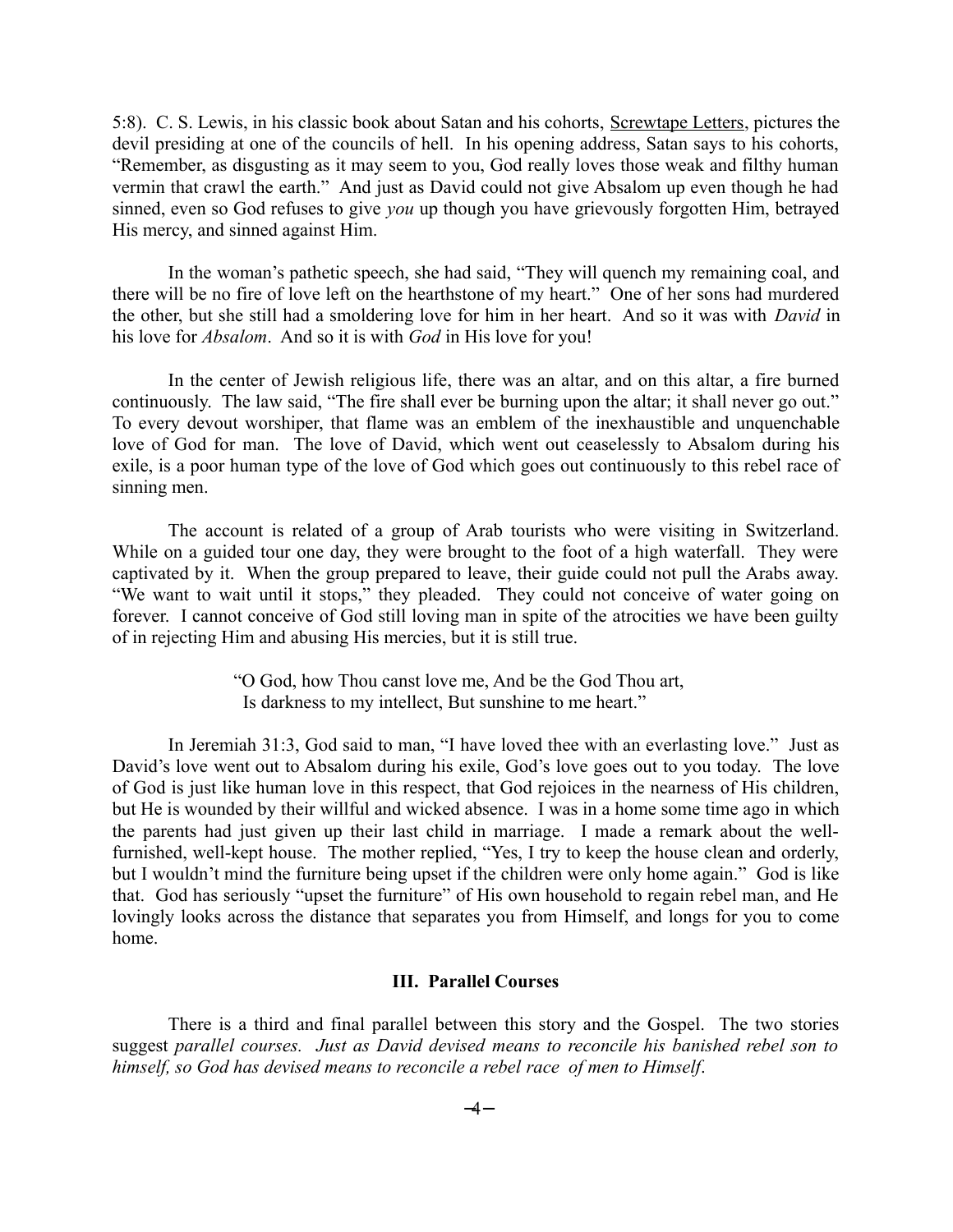5:8). C. S. Lewis, in his classic book about Satan and his cohorts, Screwtape Letters, pictures the devil presiding at one of the councils of hell. In his opening address, Satan says to his cohorts, "Remember, as disgusting as it may seem to you, God really loves those weak and filthy human vermin that crawl the earth." And just as David could not give Absalom up even though he had sinned, even so God refuses to give *you* up though you have grievously forgotten Him, betrayed His mercy, and sinned against Him.

In the woman's pathetic speech, she had said, "They will quench my remaining coal, and there will be no fire of love left on the hearthstone of my heart." One of her sons had murdered the other, but she still had a smoldering love for him in her heart. And so it was with *David* in his love for *Absalom*. And so it is with *God* in His love for you!

In the center of Jewish religious life, there was an altar, and on this altar, a fire burned continuously. The law said, "The fire shall ever be burning upon the altar; it shall never go out." To every devout worshiper, that flame was an emblem of the inexhaustible and unquenchable love of God for man. The love of David, which went out ceaselessly to Absalom during his exile, is a poor human type of the love of God which goes out continuously to this rebel race of sinning men.

The account is related of a group of Arab tourists who were visiting in Switzerland. While on a guided tour one day, they were brought to the foot of a high waterfall. They were captivated by it. When the group prepared to leave, their guide could not pull the Arabs away. "We want to wait until it stops," they pleaded. They could not conceive of water going on forever. I cannot conceive of God still loving man in spite of the atrocities we have been guilty of in rejecting Him and abusing His mercies, but it is still true.

> "O God, how Thou canst love me, And be the God Thou art, Is darkness to my intellect, But sunshine to me heart."

In Jeremiah 31:3, God said to man, "I have loved thee with an everlasting love." Just as David's love went out to Absalom during his exile, God's love goes out to you today. The love of God is just like human love in this respect, that God rejoices in the nearness of His children, but He is wounded by their willful and wicked absence. I was in a home some time ago in which the parents had just given up their last child in marriage. I made a remark about the wellfurnished, well-kept house. The mother replied, "Yes, I try to keep the house clean and orderly, but I wouldn't mind the furniture being upset if the children were only home again." God is like that. God has seriously "upset the furniture" of His own household to regain rebel man, and He lovingly looks across the distance that separates you from Himself, and longs for you to come home.

#### **III. Parallel Courses**

There is a third and final parallel between this story and the Gospel. The two stories suggest *parallel courses. Just as David devised means to reconcile his banished rebel son to himself, so God has devised means to reconcile a rebel race of men to Himself*.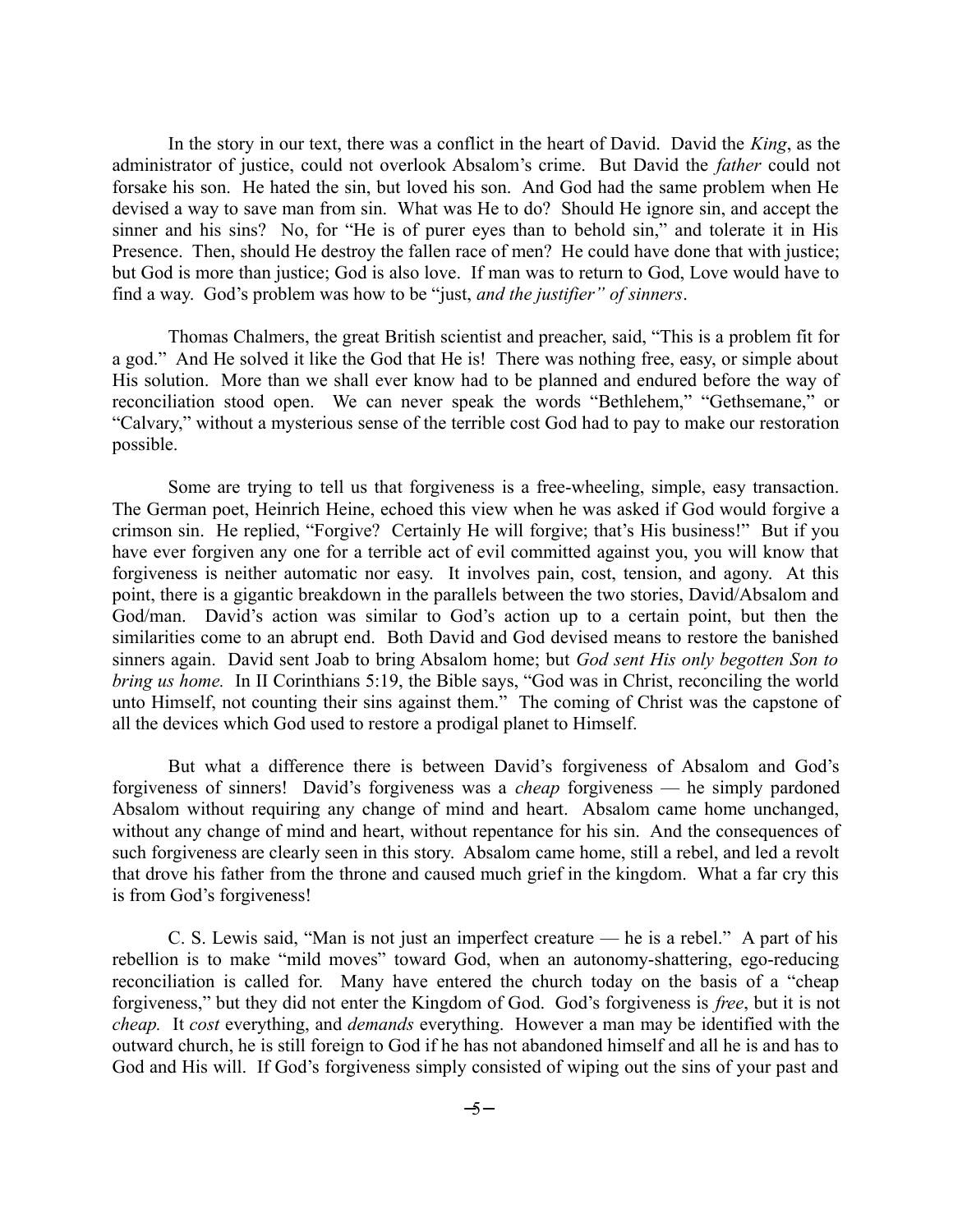In the story in our text, there was a conflict in the heart of David. David the *King*, as the administrator of justice, could not overlook Absalom's crime. But David the *father* could not forsake his son. He hated the sin, but loved his son. And God had the same problem when He devised a way to save man from sin. What was He to do? Should He ignore sin, and accept the sinner and his sins? No, for "He is of purer eyes than to behold sin," and tolerate it in His Presence. Then, should He destroy the fallen race of men? He could have done that with justice; but God is more than justice; God is also love. If man was to return to God, Love would have to find a way. God's problem was how to be "just, *and the justifier" of sinners*.

Thomas Chalmers, the great British scientist and preacher, said, "This is a problem fit for a god." And He solved it like the God that He is! There was nothing free, easy, or simple about His solution. More than we shall ever know had to be planned and endured before the way of reconciliation stood open. We can never speak the words "Bethlehem," "Gethsemane," or "Calvary," without a mysterious sense of the terrible cost God had to pay to make our restoration possible.

Some are trying to tell us that forgiveness is a free-wheeling, simple, easy transaction. The German poet, Heinrich Heine, echoed this view when he was asked if God would forgive a crimson sin. He replied, "Forgive? Certainly He will forgive; that's His business!" But if you have ever forgiven any one for a terrible act of evil committed against you, you will know that forgiveness is neither automatic nor easy. It involves pain, cost, tension, and agony. At this point, there is a gigantic breakdown in the parallels between the two stories, David/Absalom and God/man. David's action was similar to God's action up to a certain point, but then the similarities come to an abrupt end. Both David and God devised means to restore the banished sinners again. David sent Joab to bring Absalom home; but *God sent His only begotten Son to bring us home.* In II Corinthians 5:19, the Bible says, "God was in Christ, reconciling the world unto Himself, not counting their sins against them." The coming of Christ was the capstone of all the devices which God used to restore a prodigal planet to Himself.

But what a difference there is between David's forgiveness of Absalom and God's forgiveness of sinners! David's forgiveness was a *cheap* forgiveness — he simply pardoned Absalom without requiring any change of mind and heart. Absalom came home unchanged, without any change of mind and heart, without repentance for his sin. And the consequences of such forgiveness are clearly seen in this story. Absalom came home, still a rebel, and led a revolt that drove his father from the throne and caused much grief in the kingdom. What a far cry this is from God's forgiveness!

C. S. Lewis said, "Man is not just an imperfect creature — he is a rebel." A part of his rebellion is to make "mild moves" toward God, when an autonomy-shattering, ego-reducing reconciliation is called for. Many have entered the church today on the basis of a "cheap forgiveness," but they did not enter the Kingdom of God. God's forgiveness is *free*, but it is not *cheap.* It *cost* everything, and *demands* everything. However a man may be identified with the outward church, he is still foreign to God if he has not abandoned himself and all he is and has to God and His will. If God's forgiveness simply consisted of wiping out the sins of your past and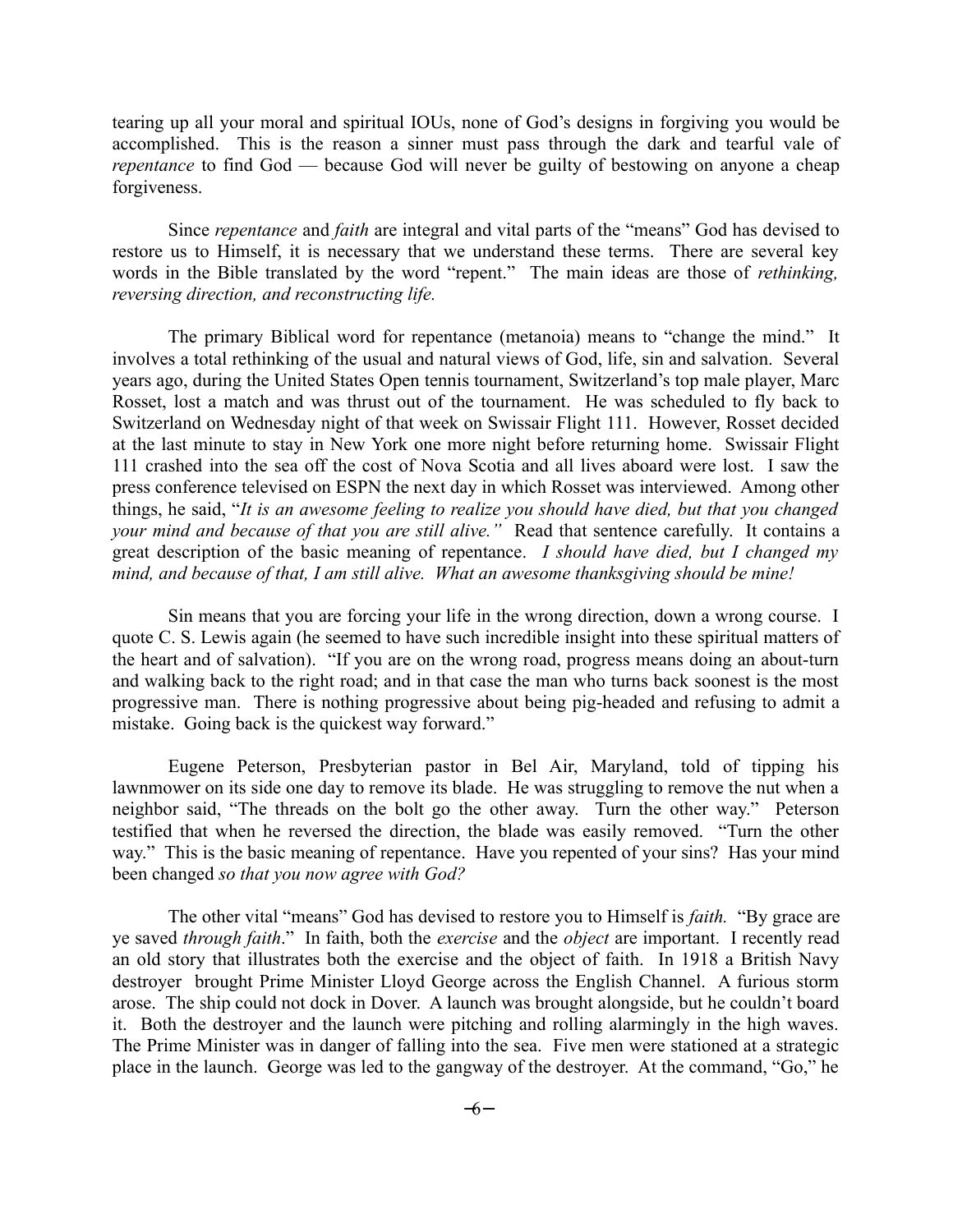tearing up all your moral and spiritual IOUs, none of God's designs in forgiving you would be accomplished. This is the reason a sinner must pass through the dark and tearful vale of *repentance* to find God — because God will never be guilty of bestowing on anyone a cheap forgiveness.

Since *repentance* and *faith* are integral and vital parts of the "means" God has devised to restore us to Himself, it is necessary that we understand these terms. There are several key words in the Bible translated by the word "repent." The main ideas are those of *rethinking, reversing direction, and reconstructing life.* 

The primary Biblical word for repentance (metanoia) means to "change the mind." It involves a total rethinking of the usual and natural views of God, life, sin and salvation. Several years ago, during the United States Open tennis tournament, Switzerland's top male player, Marc Rosset, lost a match and was thrust out of the tournament. He was scheduled to fly back to Switzerland on Wednesday night of that week on Swissair Flight 111. However, Rosset decided at the last minute to stay in New York one more night before returning home. Swissair Flight 111 crashed into the sea off the cost of Nova Scotia and all lives aboard were lost. I saw the press conference televised on ESPN the next day in which Rosset was interviewed. Among other things, he said, "*It is an awesome feeling to realize you should have died, but that you changed your mind and because of that you are still alive."* Read that sentence carefully. It contains a great description of the basic meaning of repentance. *I should have died, but I changed my mind, and because of that, I am still alive. What an awesome thanksgiving should be mine!*

Sin means that you are forcing your life in the wrong direction, down a wrong course. I quote C. S. Lewis again (he seemed to have such incredible insight into these spiritual matters of the heart and of salvation). "If you are on the wrong road, progress means doing an about-turn and walking back to the right road; and in that case the man who turns back soonest is the most progressive man. There is nothing progressive about being pig-headed and refusing to admit a mistake. Going back is the quickest way forward."

Eugene Peterson, Presbyterian pastor in Bel Air, Maryland, told of tipping his lawnmower on its side one day to remove its blade. He was struggling to remove the nut when a neighbor said, "The threads on the bolt go the other away. Turn the other way." Peterson testified that when he reversed the direction, the blade was easily removed. "Turn the other way." This is the basic meaning of repentance. Have you repented of your sins? Has your mind been changed *so that you now agree with God?*

The other vital "means" God has devised to restore you to Himself is *faith.* "By grace are ye saved *through faith*." In faith, both the *exercise* and the *object* are important. I recently read an old story that illustrates both the exercise and the object of faith. In 1918 a British Navy destroyer brought Prime Minister Lloyd George across the English Channel. A furious storm arose. The ship could not dock in Dover. A launch was brought alongside, but he couldn't board it. Both the destroyer and the launch were pitching and rolling alarmingly in the high waves. The Prime Minister was in danger of falling into the sea. Five men were stationed at a strategic place in the launch. George was led to the gangway of the destroyer. At the command, "Go," he